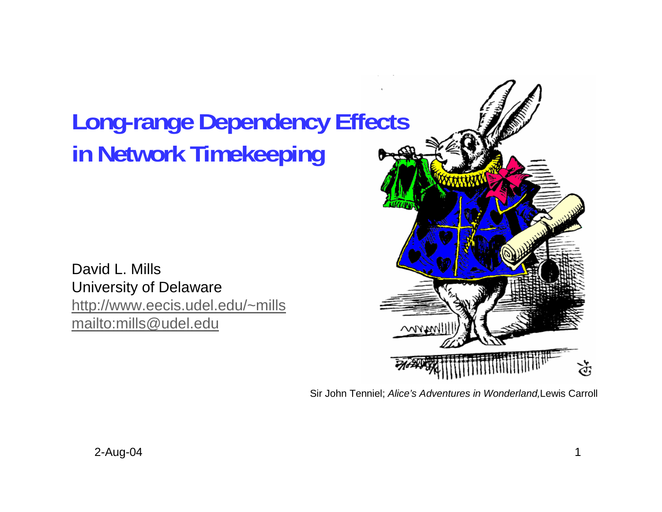# **Long-range Dependency Effects in Network Timekeeping**

David L. MillsUniversity of Delaware http://www.eecis.udel.edu/~mills mailto:mills@udel.edu



Sir John Tenniel; *Alice's Adventures in Wonderland,*Lewis Carroll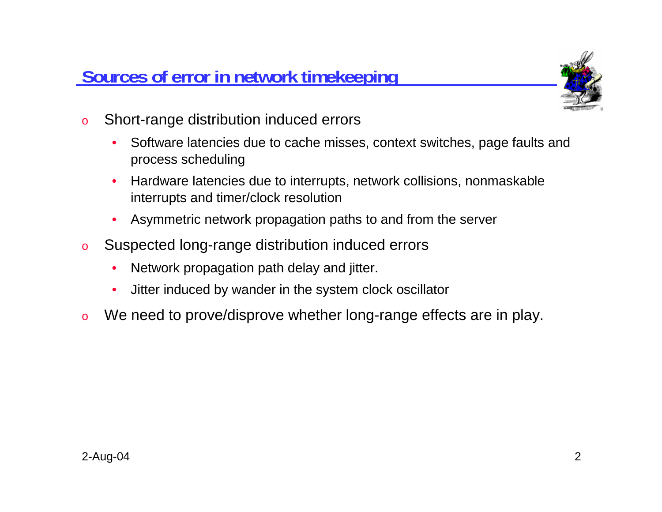**Sources of error in network timekeeping**



- o Short-range distribution induced errors
	- • Software latencies due to cache misses, context switches, page faults and process scheduling
	- • Hardware latencies due to interrupts, network collisions, nonmaskable interrupts and timer/clock resolution
	- •Asymmetric network propagation paths to and from the server
- o Suspected long-range distribution induced errors
	- •Network propagation path delay and jitter.
	- •Jitter induced by wander in the system clock oscillator
- oWe need to prove/disprove whether long-range effects are in play.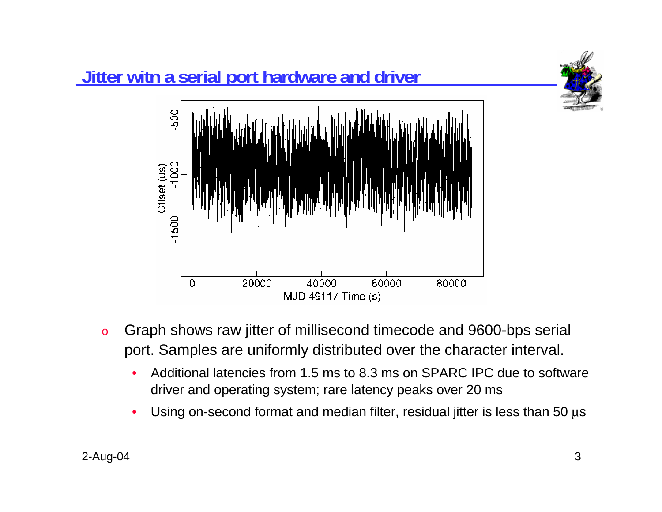

- o Graph shows raw jitter of millisecond timecode and 9600-bps serial port. Samples are uniformly distributed over the character interval.
	- • Additional latencies from 1.5 ms to 8.3 ms on SPARC IPC due to software driver and operating system; rare latency peaks over 20 ms
	- •Using on-second format and median filter, residual jitter is less than 50  $\mu$ s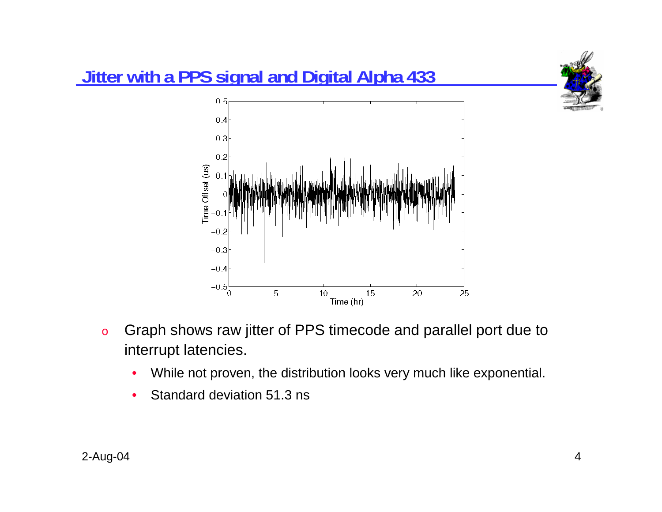

- o Graph shows raw jitter of PPS timecode and parallel port due to interrupt latencies.
	- $\bullet$ While not proven, the distribution looks very much like exponential.
	- $\bullet$ Standard deviation 51.3 ns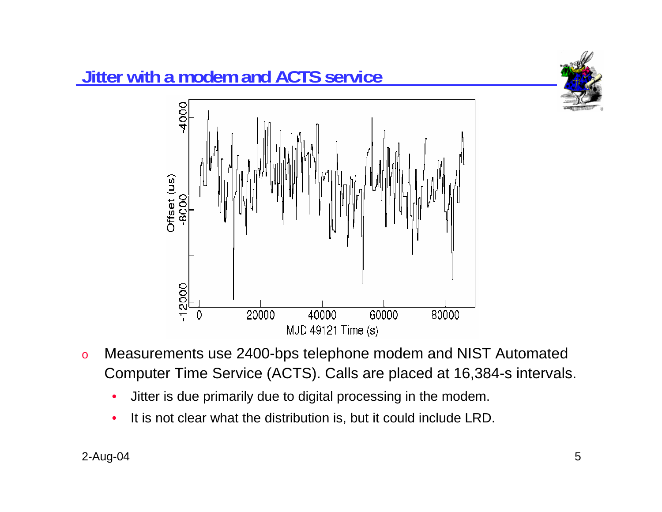



- o Measurements use 2400-bps telephone modem and NIST Automated Computer Time Service (ACTS). Calls are placed at 16,384-s intervals.
	- •Jitter is due primarily due to digital processing in the modem.
	- •It is not clear what the distribution is, but it could include LRD.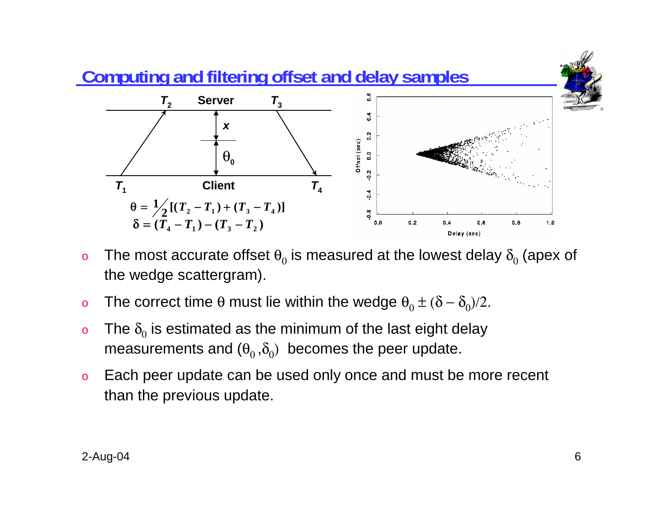

- o $\,$  The most accurate offset  $\theta_{0}$  is measured at the lowest delay  $\delta_{0}$  (apex of the wedge scattergram).
- o $\rm o$  The correct time θ must lie within the wedge  $\rm \theta_{0}$   $\pm$  (δ –  $\rm \delta_{0}$ )/2.
- oo The  $\delta_0$  is estimated as the minimum of the last eight delay measurements and  $(\theta_0, \delta_0)$  becomes the peer update.
- o Each peer update can be used only once and must be more recent than the previous update.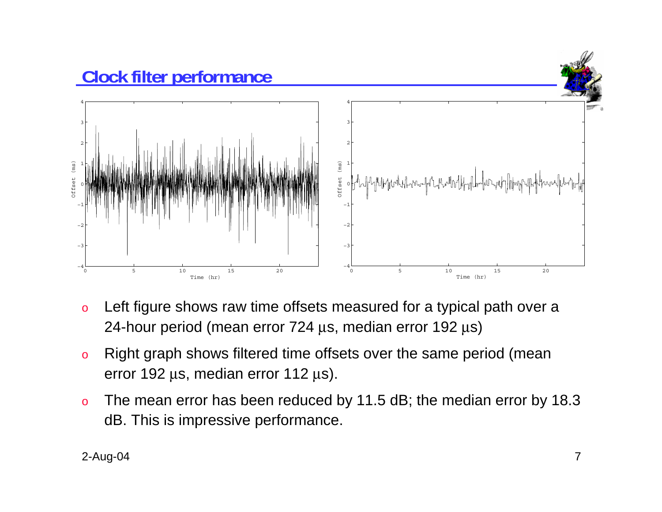

- o Left figure shows raw time offsets measured for a typical path over a 24-hour period (mean error  $724 \,\mu s$ , median error  $192 \,\mu s$ )
- o Right graph shows filtered time offsets over the same period (mean error 192 µs, median error 112 µs).
- o The mean error has been reduced by 11.5 dB; the median error by 18.3 dB. This is impressive performance.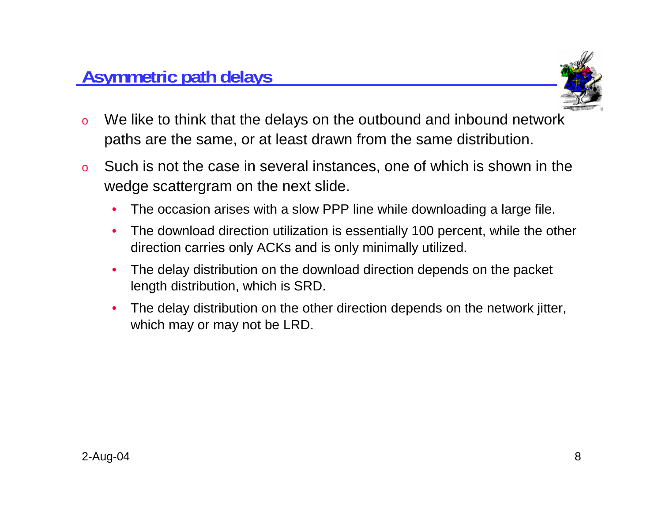

- o We like to think that the delays on the outbound and inbound network paths are the same, or at least drawn from the same distribution.
- o Such is not the case in several instances, one of which is shown in the wedge scattergram on the next slide.
	- •The occasion arises with a slow PPP line while downloading a large file.
	- • The download direction utilization is essentially 100 percent, while the other direction carries only ACKs and is only minimally utilized.
	- • The delay distribution on the download direction depends on the packet length distribution, which is SRD.
	- • The delay distribution on the other direction depends on the network jitter, which may or may not be LRD.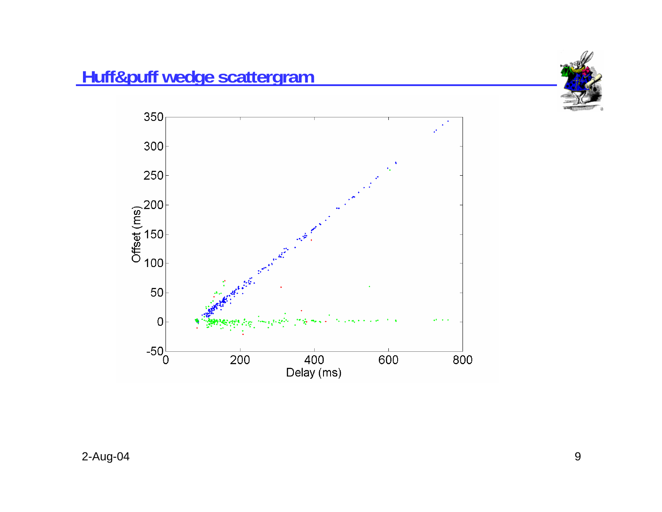

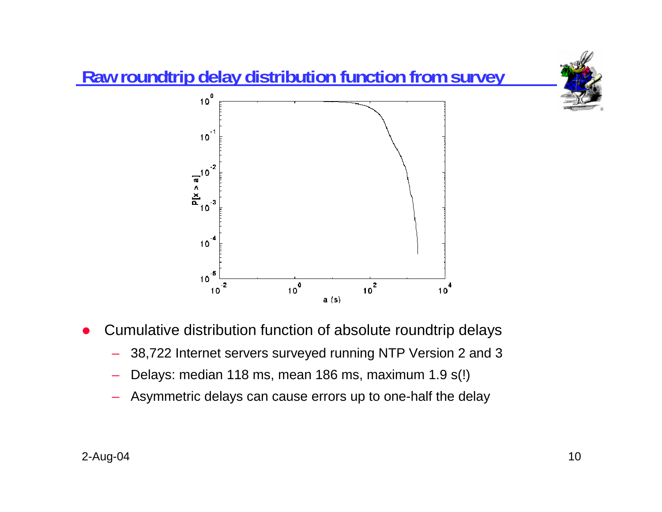

- O Cumulative distribution function of absolute roundtrip delays
	- –38,722 Internet servers surveyed running NTP Version 2 and 3
	- Delays: median 118 ms, mean 186 ms, maximum 1.9 s(!)
	- Asymmetric delays can cause errors up to one-half the delay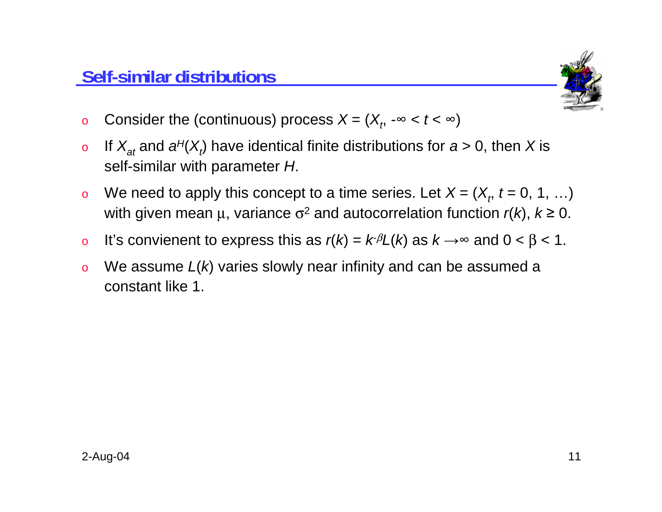

- oConsider the (continuous) process  $X = (X_n \rightarrow \infty < t < \infty)$
- o $\sigma$  If  $X_{at}$  and  $a^{H}(X_{t})$  have identical finite distributions for  $a > 0$ , then X is self-similar with parameter *H*.
- oWe need to apply this concept to a time series. Let  $X = (X_t, t = 0, 1, ...)$ with given mean  $\mu$ , variance  $\sigma^2$  and autocorrelation function  $r(k)$ ,  $k \ge 0$ .
- oIt's convienent to express this as  $r(k) = k\beta L(k)$  as  $k \rightarrow \infty$  and  $0 < \beta < 1$ .
- o We assume *L*(*k*) varies slowly near infinity and can be assumed a constant like 1.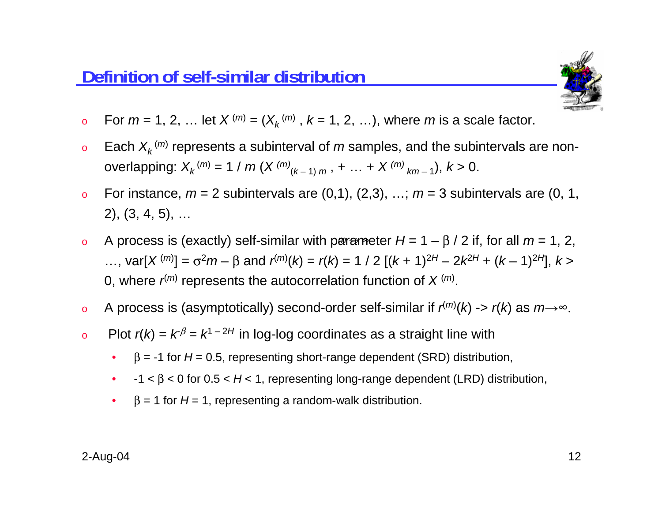

- o $\bullet$  For  $m = 1, 2, ...$  let  $X^{(m)} = (X^{(m)}_k, k = 1, 2, ...),$  where  $m$  is a scale factor.
- oEach  $X_k$ <sup>(*m*)</sup> represents a subinterval of *m* samples, and the subintervals are nonoverlapping:  $X_k^{(m)} = 1 / m (X^{(m)}_{(k-1) m}, + ... + X^{(m)}_{k m-1}), k > 0.$
- oFor instance,  $m = 2$  subintervals are  $(0,1)$ ,  $(2,3)$ , ...;  $m = 3$  subintervals are  $(0, 1, 1)$ 2), (3, 4, 5), …
- o $\alpha$  A process is (exactly) self-similar with parameter  $H = 1 - \beta / 2$  if, for all  $m = 1, 2, 3$ ...,  $var[X^{(m)}] = \sigma^2 m - \beta$  and  $r^{(m)}(k) = r(k) = 1 / 2 [(k + 1)^{2H} - 2k^{2H} + (k - 1)^{2H}]$ ,  $k >$ 0, where  $r^{(m)}$  represents the autocorrelation function of  $X^{(m)}$ .
- oA process is (asymptotically) second-order self-similar if  $r^{(m)}(k) \rightarrow r(k)$  as  $m \rightarrow \infty$ .
- oPlot  $r(k) = k^{\beta} = k^{1-2H}$  in log-log coordinates as a straight line with
	- • $β = -1$  for  $H = 0.5$ , representing short-range dependent (SRD) distribution,
	- • $-1 < \beta < 0$  for  $0.5 < H < 1$ , representing long-range dependent (LRD) distribution,
	- • $\beta$  = 1 for  $H$  = 1, representing a random-walk distribution.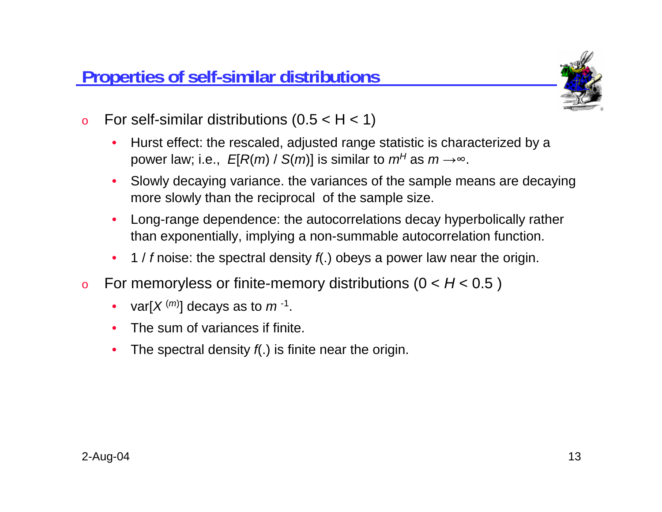

- oFor self-similar distributions  $(0.5 < H < 1)$ 
	- • Hurst effect: the rescaled, adjusted range statistic is characterized by a power law; i.e.,  $E[R(m) / S(m)]$  is similar to  $m^H$  as  $m \rightarrow \infty$ .
	- • Slowly decaying variance. the variances of the sample means are decaying more slowly than the reciprocal of the sample size.
	- • Long-range dependence: the autocorrelations decay hyperbolically rather than exponentially, implying a non-summable autocorrelation function.
	- $\bullet$ 1 / *f* noise: the spectral density *f*(.) obeys a power law near the origin.
- o For memoryless or finite-memory distributions (0 < *H* < 0.5 )
	- •var $[X^{(m)}]$  decays as to  $m^{-1}$ .
	- •The sum of variances if finite.
	- •The spectral density *f*(.) is finite near the origin.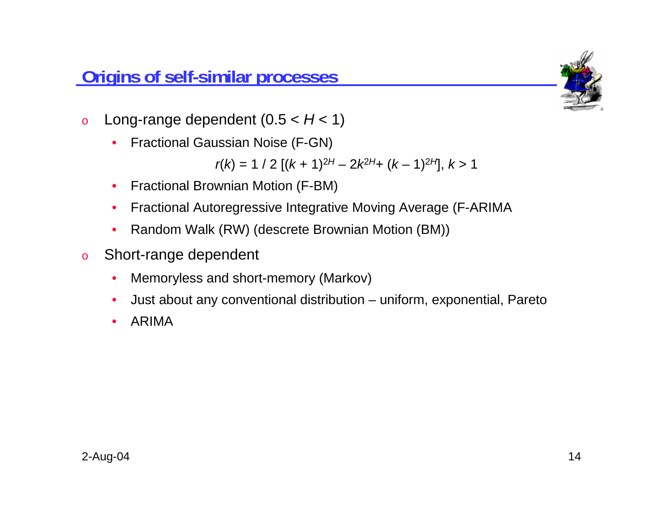### **Origins of self-similar processes**



- o Long-range dependent (0.5 < *H* < 1)
	- $\bullet$ Fractional Gaussian Noise (F-GN)

$$
r(k) = 1 / 2 [(k + 1)^{2H} - 2k^{2H} + (k - 1)^{2H}], k > 1
$$

- •Fractional Brownian Motion (F-BM)
- •Fractional Autoregressive Integrative Moving Average (F-ARIMA
- •Random Walk (RW) (descrete Brownian Motion (BM))
- o Short-range dependent
	- $\bullet$ Memoryless and short-memory (Markov)
	- $\bullet$ Just about any conventional distribution – uniform, exponential, Pareto
	- $\bullet$ ARIMA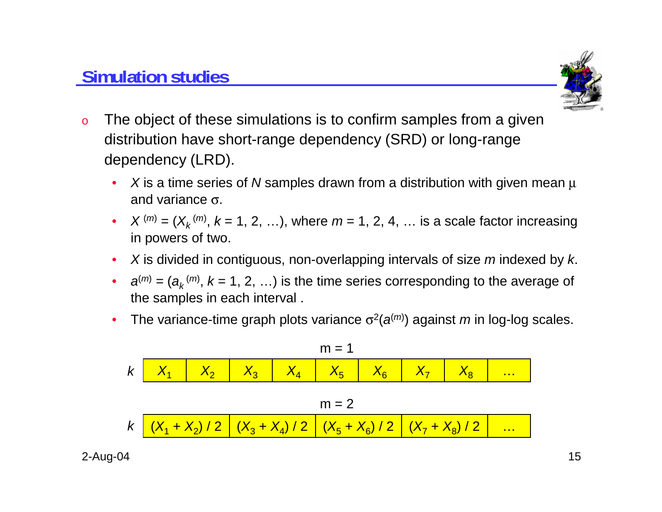## **Simulation studies**



- o The object of these simulations is to confirm samples from a given distribution have short-range dependency (SRD) or long-range dependency (LRD).
	- • *X* is a time series of *N* samples drawn from a distribution with given mean µ and variance σ.
	- • $X^{(m)} = (X_k^{(m)}, k = 1, 2, ...)$ , where  $m = 1, 2, 4, ...$  is a scale factor increasing in powers of two.
	- •*X* is divided in contiguous, non-overlapping intervals of size *<sup>m</sup>* indexed by *k*.
	- • $a^{(m)} = (a_k^{(m)}, k = 1, 2, ...)$  is the time series corresponding to the average of the samples in each interval .
	- •The variance-time graph plots variance  $\sigma^2(a^{(m)})$  against *m* in log-log scales.

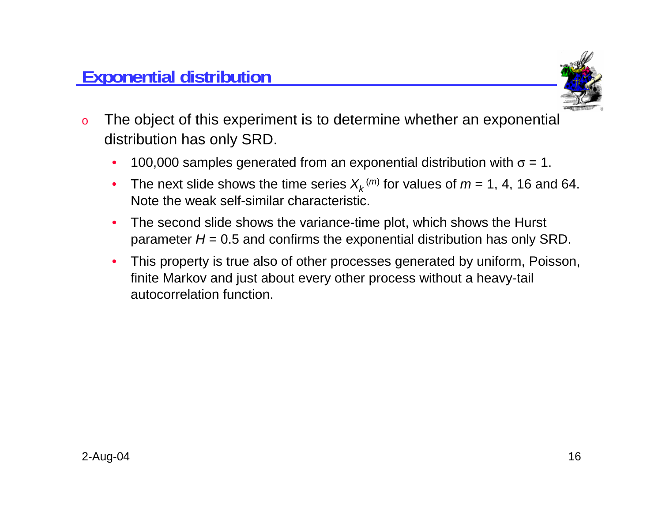

- o The object of this experiment is to determine whether an exponential distribution has only SRD.
	- $\bullet$ 100,000 samples generated from an exponential distribution with  $\sigma = 1$ .
	- •The next slide shows the time series  $X_k^{(m)}$  for values of  $m = 1, 4, 16$  and 64. Note the weak self-similar characteristic.
	- • The second slide shows the variance-time plot, which shows the Hurst parameter  $H = 0.5$  and confirms the exponential distribution has only SRD.
	- • This property is true also of other processes generated by uniform, Poisson, finite Markov and just about every other process without a heavy-tail autocorrelation function.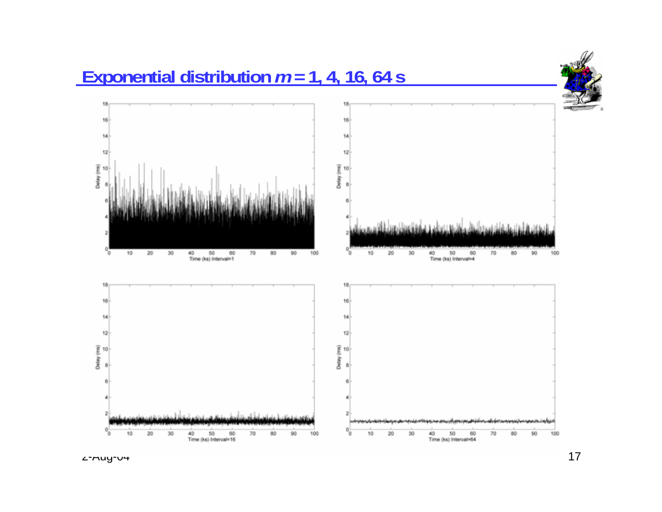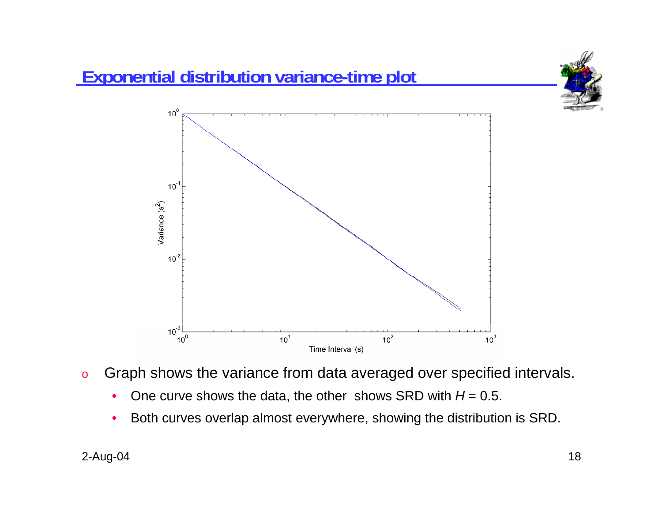

- o Graph shows the variance from data averaged over specified intervals.
	- $\bullet$ One curve shows the data, the other shows SRD with  $H = 0.5$ .
	- •Both curves overlap almost everywhere, showing the distribution is SRD.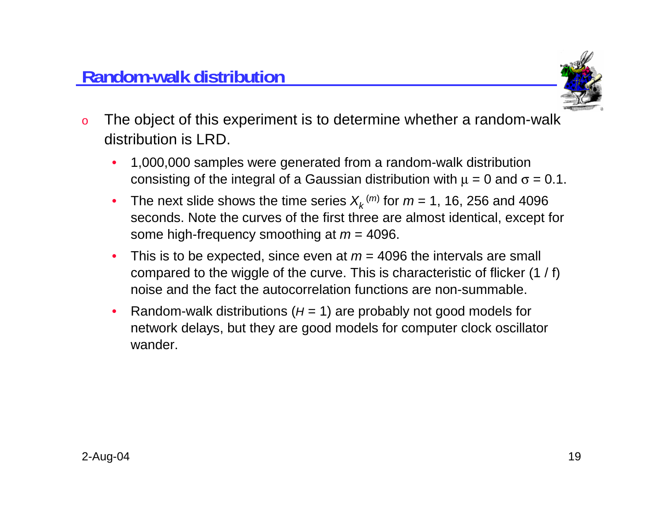

- o The object of this experiment is to determine whether a random-walk distribution is LRD.
	- • 1,000,000 samples were generated from a random-walk distribution consisting of the integral of a Gaussian distribution with  $\mu = 0$  and  $\sigma = 0.1$ .
	- •The next slide shows the time series  $X_k^{(m)}$  for  $m = 1$ , 16, 256 and 4096 seconds. Note the curves of the first three are almost identical, except for some high-frequency smoothing at *<sup>m</sup>* = 4096.
	- •This is to be expected, since even at  $m = 4096$  the intervals are small compared to the wiggle of the curve. This is characteristic of flicker (1 / f) noise and the fact the autocorrelation functions are non-summable.
	- •Random-walk distributions  $(H = 1)$  are probably not good models for network delays, but they are good models for computer clock oscillator wander.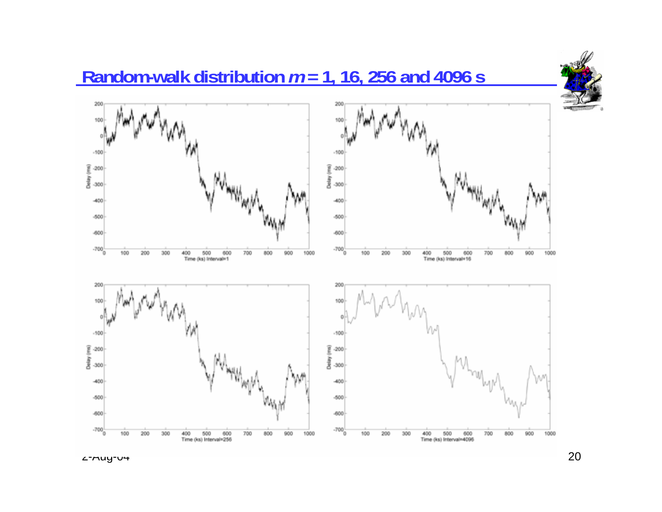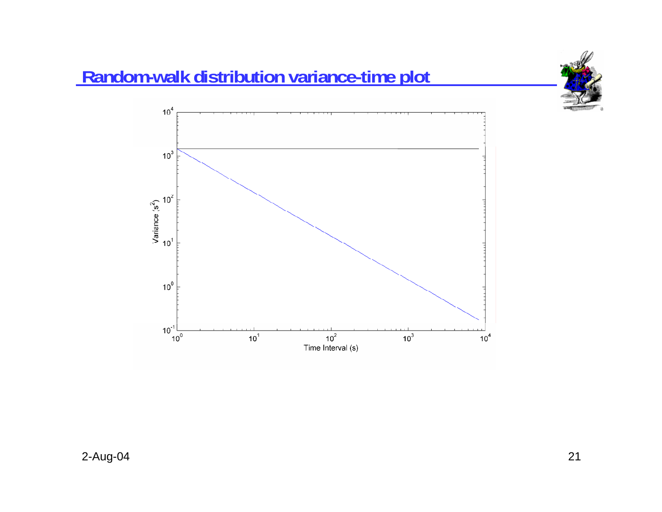

# **Random-walk distribution variance-time plot**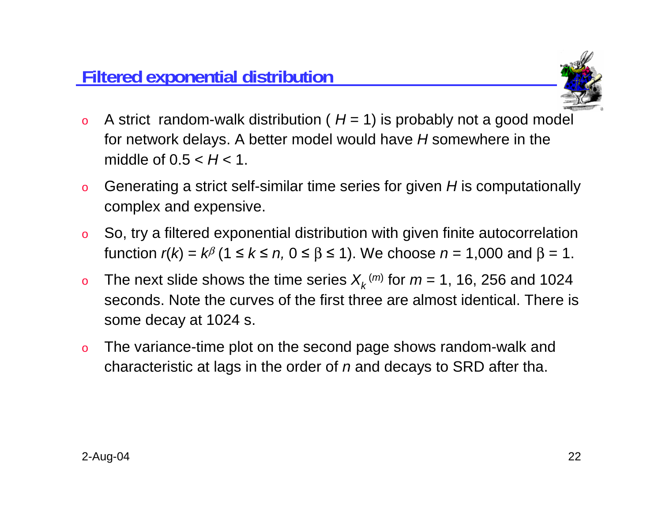

- oA strict random-walk distribution ( $H = 1$ ) is probably not a good model for network delays. A better model would have *H* somewhere in the middle of 0.5 < *H* < 1.
- o Generating a strict self-similar time series for given *H* is computationally complex and expensive.
- o So, try a filtered exponential distribution with given finite autocorrelation function  $r(k) = k^{\beta}$  (1 ≤  $k$  ≤  $n, 0$  ≤  $\beta$  ≤ 1). We choose  $n = 1,000$  and  $\beta = 1$ .
- oThe next slide shows the time series  $X_k^{(m)}$  for  $m = 1$ , 16, 256 and 1024 seconds. Note the curves of the first three are almost identical. There is some decay at 1024 s.
- o The variance-time plot on the second page shows random-walk and characteristic at lags in the order of *<sup>n</sup>* and decays to SRD after tha.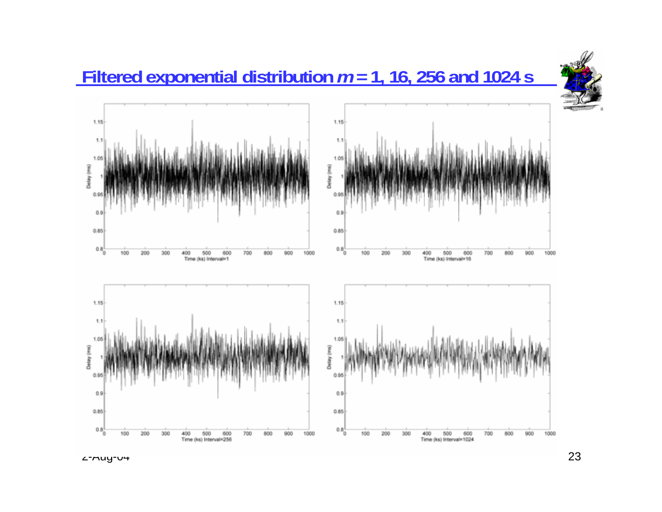## **Filtered exponential distribution** *<sup>m</sup>* **= 1, 16, 256 and 1024 s**



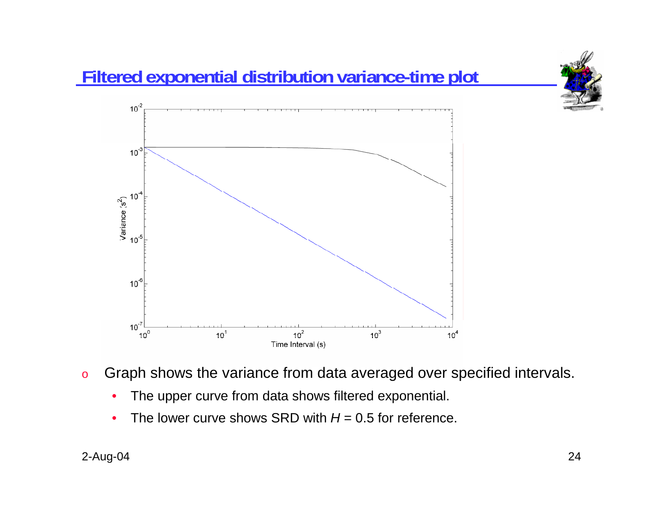

- o Graph shows the variance from data averaged over specified intervals.
	- •The upper curve from data shows filtered exponential.
	- •• The lower curve shows SRD with *H* = 0.5 for reference.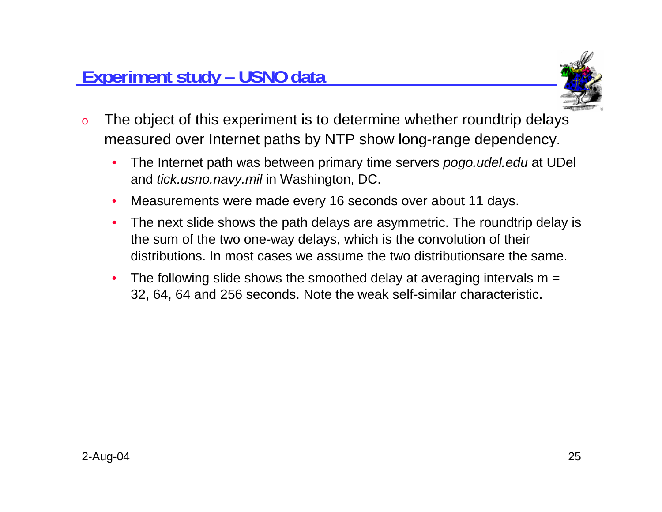

- o The object of this experiment is to determine whether roundtrip delays measured over Internet paths by NTP show long-range dependency.
	- • The Internet path was between primary time servers *pogo.udel.edu* at UDel and *tick.usno.navy.mil* in Washington, DC.
	- •Measurements were made every 16 seconds over about 11 days.
	- • The next slide shows the path delays are asymmetric. The roundtrip delay is the sum of the two one-way delays, which is the convolution of their distributions. In most cases we assume the two distributionsare the same.
	- •The following slide shows the smoothed delay at averaging intervals  $m =$ 32, 64, 64 and 256 seconds. Note the weak self-similar characteristic.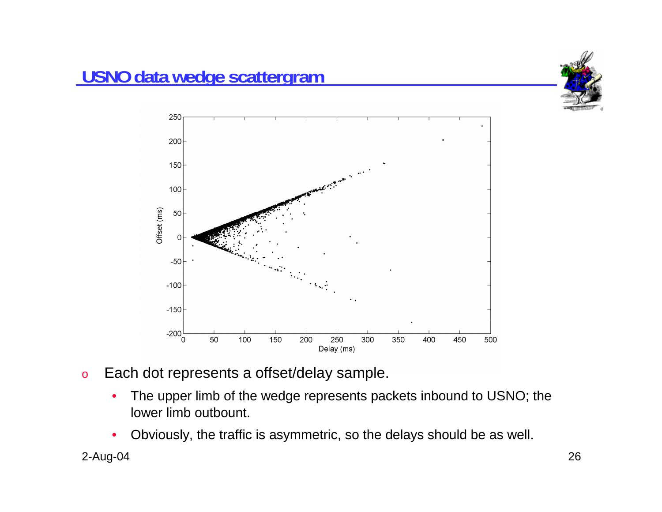



- o Each dot represents a offset/delay sample.
	- • The upper limb of the wedge represents packets inbound to USNO; the lower limb outbount.
	- •Obviously, the traffic is asymmetric, so the delays should be as well.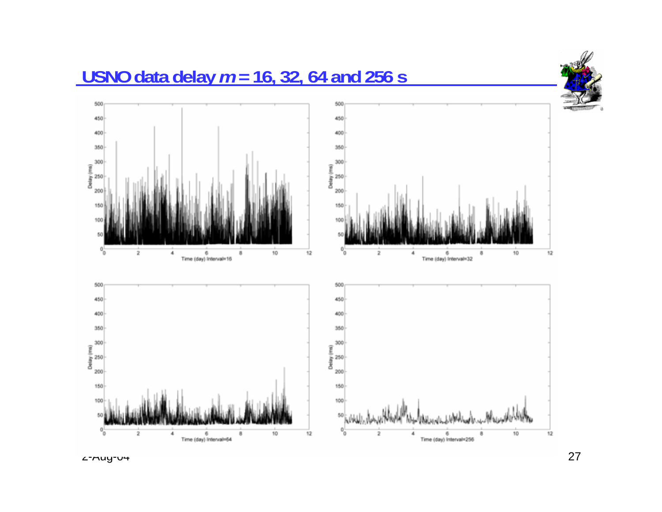

2-Aug-04 27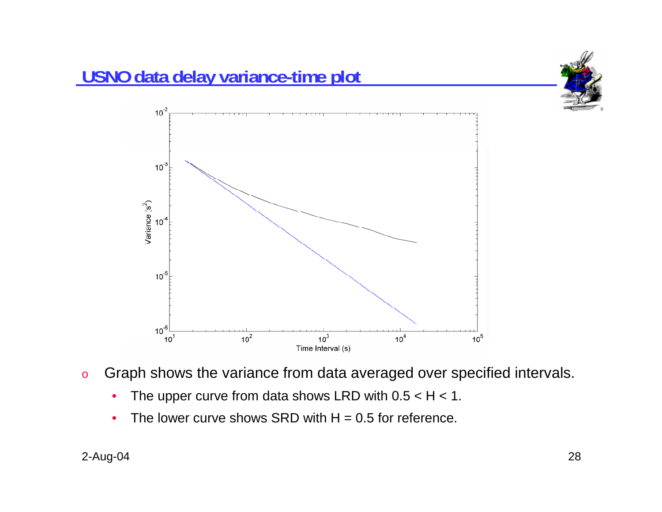



- •The upper curve from data shows LRD with  $0.5 < H < 1$ .
- •The lower curve shows SRD with  $H = 0.5$  for reference.

Variance (s<sup>2</sup>)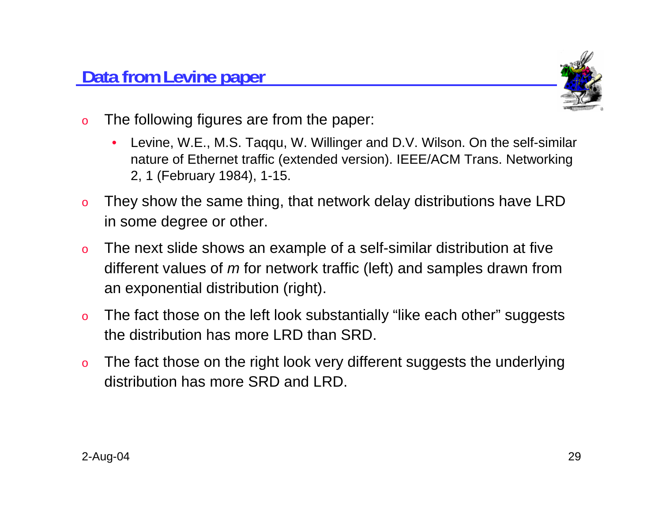

- o The following figures are from the paper:
	- • Levine, W.E., M.S. Taqqu, W. Willinger and D.V. Wilson. On the self-similar nature of Ethernet traffic (extended version). IEEE/ACM Trans. Networking 2, 1 (February 1984), 1-15.
- o They show the same thing, that network delay distributions have LRD in some degree or other.
- o The next slide shows an example of a self-similar distribution at five different values of *m* for network traffic (left) and samples drawn from an exponential distribution (right).
- o The fact those on the left look substantially "like each other" suggests the distribution has more LRD than SRD.
- o The fact those on the right look very different suggests the underlying distribution has more SRD and LRD.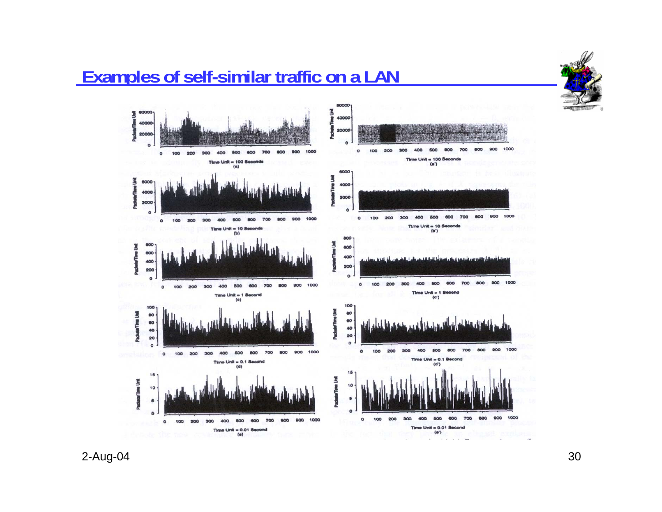### **Examples of self-similar traffic on a LAN**



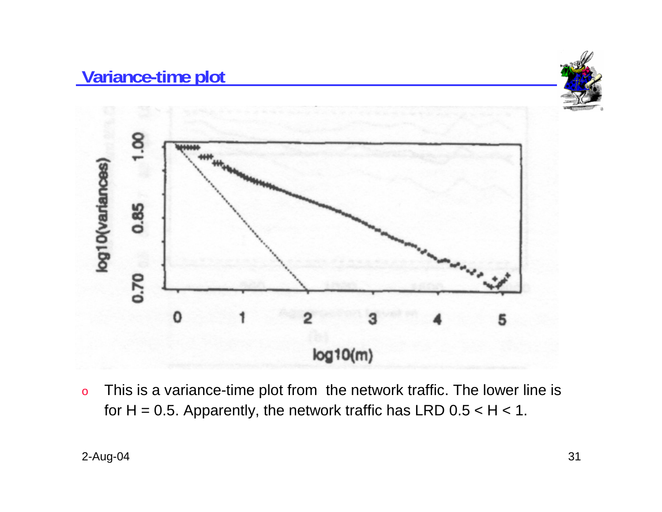

o This is a variance-time plot from the network traffic. The lower line is for  $H = 0.5$ . Apparently, the network traffic has LRD  $0.5 < H < 1$ .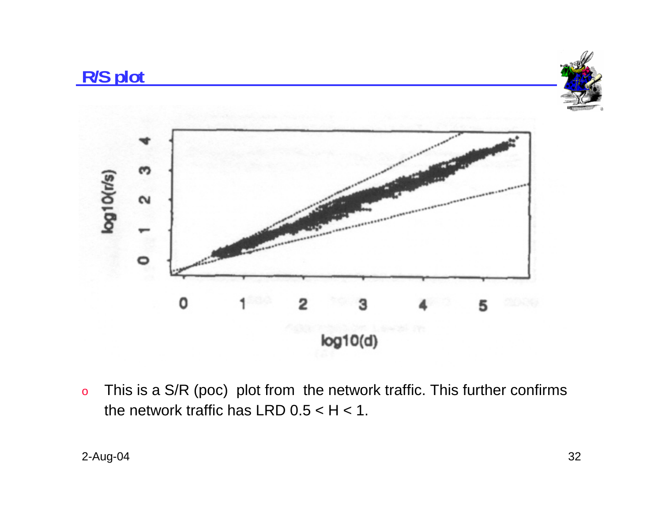

o This is a S/R (poc) plot from the network traffic. This further confirms the network traffic has LRD  $0.5 < H < 1$ .